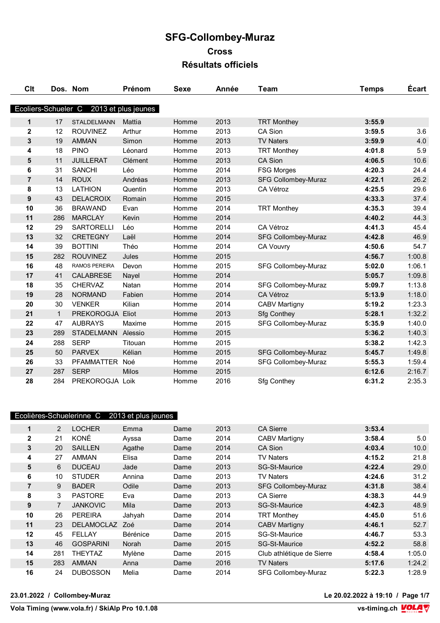| Clt                 |              | Dos. Nom             | Prénom              | <b>Sexe</b> | Année | Team                       | <b>Temps</b> | <b>Ecart</b> |
|---------------------|--------------|----------------------|---------------------|-------------|-------|----------------------------|--------------|--------------|
|                     |              |                      |                     |             |       |                            |              |              |
| Ecoliers-Schueler C |              |                      | 2013 et plus jeunes |             |       |                            |              |              |
| 1                   | 17           | <b>STALDELMANN</b>   | Mattia              | Homme       | 2013  | <b>TRT Monthey</b>         | 3:55.9       |              |
| 2                   | 12           | <b>ROUVINEZ</b>      | Arthur              | Homme       | 2013  | CA Sion                    | 3:59.5       | 3.6          |
| 3                   | 19           | <b>AMMAN</b>         | Simon               | Homme       | 2013  | <b>TV Naters</b>           | 3:59.9       | 4.0          |
| 4                   | 18           | <b>PINO</b>          | Léonard             | Homme       | 2013  | <b>TRT Monthey</b>         | 4:01.8       | 5.9          |
| 5                   | 11           | <b>JUILLERAT</b>     | Clément             | Homme       | 2013  | <b>CA Sion</b>             | 4:06.5       | 10.6         |
| 6                   | 31           | <b>SANCHI</b>        | Léo                 | Homme       | 2014  | <b>FSG Morges</b>          | 4:20.3       | 24.4         |
| $\overline{7}$      | 14           | <b>ROUX</b>          | Andréas             | Homme       | 2013  | <b>SFG Collombey-Muraz</b> | 4:22.1       | 26.2         |
| 8                   | 13           | <b>LATHION</b>       | Quentin             | Homme       | 2013  | CA Vétroz                  | 4:25.5       | 29.6         |
| 9                   | 43           | <b>DELACROIX</b>     | Romain              | Homme       | 2015  |                            | 4:33.3       | 37.4         |
| 10                  | 36           | <b>BRAWAND</b>       | Evan                | Homme       | 2014  | <b>TRT Monthey</b>         | 4:35.3       | 39.4         |
| 11                  | 286          | <b>MARCLAY</b>       | Kevin               | Homme       | 2014  |                            | 4:40.2       | 44.3         |
| 12                  | 29           | <b>SARTORELLI</b>    | Léo                 | Homme       | 2014  | CA Vétroz                  | 4:41.3       | 45.4         |
| 13                  | 32           | <b>CRETEGNY</b>      | Laël                | Homme       | 2014  | <b>SFG Collombey-Muraz</b> | 4:42.8       | 46.9         |
| 14                  | 39           | <b>BOTTINI</b>       | Théo                | Homme       | 2014  | <b>CA Vouvry</b>           | 4:50.6       | 54.7         |
| 15                  | 282          | <b>ROUVINEZ</b>      | Jules               | Homme       | 2015  |                            | 4:56.7       | 1:00.8       |
| 16                  | 48           | <b>RAMOS PEREIRA</b> | Devon               | Homme       | 2015  | SFG Collombey-Muraz        | 5:02.0       | 1:06.1       |
| 17                  | 41           | <b>CALABRESE</b>     | Nayel               | Homme       | 2014  |                            | 5:05.7       | 1:09.8       |
| 18                  | 35           | <b>CHERVAZ</b>       | Natan               | Homme       | 2014  | <b>SFG Collombey-Muraz</b> | 5:09.7       | 1:13.8       |
| 19                  | 28           | <b>NORMAND</b>       | Fabien              | Homme       | 2014  | CA Vétroz                  | 5:13.9       | 1:18.0       |
| 20                  | 30           | <b>VENKER</b>        | Kilian              | Homme       | 2014  | <b>CABV Martigny</b>       | 5:19.2       | 1:23.3       |
| 21                  | $\mathbf{1}$ | PREKOROGJA Eliot     |                     | Homme       | 2013  | <b>Sfg Conthey</b>         | 5:28.1       | 1:32.2       |
| 22                  | 47           | <b>AUBRAYS</b>       | Maxime              | Homme       | 2015  | SFG Collombey-Muraz        | 5:35.9       | 1:40.0       |
| 23                  | 289          | <b>STADELMANN</b>    | Alessio             | Homme       | 2015  |                            | 5:36.2       | 1:40.3       |
| 24                  | 288          | <b>SERP</b>          | Titouan             | Homme       | 2015  |                            | 5:38.2       | 1:42.3       |
| 25                  | 50           | <b>PARVEX</b>        | Kélian              | Homme       | 2015  | <b>SFG Collombey-Muraz</b> | 5:45.7       | 1:49.8       |
| 26                  | 33           | <b>PFAMMATTER</b>    | Noé                 | Homme       | 2014  | <b>SFG Collombey-Muraz</b> | 5:55.3       | 1:59.4       |
| 27                  | 287          | <b>SERP</b>          | <b>Milos</b>        | Homme       | 2015  |                            | 6:12.6       | 2:16.7       |
| 28                  | 284          | PREKOROGJA Loik      |                     | Homme       | 2016  | <b>Sfg Conthey</b>         | 6:31.2       | 2:35.3       |

|                |                | Ecolières-Schuelerinne C | 2013 et plus jeunes |      |      |                            |        |        |
|----------------|----------------|--------------------------|---------------------|------|------|----------------------------|--------|--------|
| 1              | 2              | <b>LOCHER</b>            | Emma                | Dame | 2013 | <b>CA Sierre</b>           | 3:53.4 |        |
| $\mathbf{2}$   | 21             | KONÉ                     | Ayssa               | Dame | 2014 | <b>CABV Martigny</b>       | 3:58.4 | 5.0    |
| 3              | 20             | <b>SAILLEN</b>           | Agathe              | Dame | 2014 | CA Sion                    | 4:03.4 | 10.0   |
| 4              | 27             | <b>AMMAN</b>             | Elisa               | Dame | 2014 | TV Naters                  | 4:15.2 | 21.8   |
| 5              | 6              | <b>DUCEAU</b>            | Jade                | Dame | 2013 | <b>SG-St-Maurice</b>       | 4:22.4 | 29.0   |
| 6              | 10             | <b>STUDER</b>            | Annina              | Dame | 2013 | <b>TV Naters</b>           | 4:24.6 | 31.2   |
| $\overline{7}$ | 9              | <b>BADER</b>             | Odile               | Dame | 2013 | <b>SFG Collombey-Muraz</b> | 4:31.8 | 38.4   |
| 8              | 3              | <b>PASTORE</b>           | Eva                 | Dame | 2013 | <b>CA Sierre</b>           | 4:38.3 | 44.9   |
| 9              | $\overline{7}$ | <b>JANKOVIC</b>          | Mila                | Dame | 2013 | <b>SG-St-Maurice</b>       | 4:42.3 | 48.9   |
| 10             | 26             | <b>PEREIRA</b>           | Jahyah              | Dame | 2014 | <b>TRT Monthey</b>         | 4:45.0 | 51.6   |
| 11             | 23             | <b>DELAMOCLAZ</b>        | Zoé                 | Dame | 2014 | <b>CABV Martigny</b>       | 4:46.1 | 52.7   |
| 12             | 45             | <b>FELLAY</b>            | <b>Bérénice</b>     | Dame | 2015 | <b>SG-St-Maurice</b>       | 4:46.7 | 53.3   |
| 13             | 46             | <b>GOSPARINI</b>         | Norah               | Dame | 2015 | <b>SG-St-Maurice</b>       | 4:52.2 | 58.8   |
| 14             | 281            | <b>THEYTAZ</b>           | Mylène              | Dame | 2015 | Club athlétique de Sierre  | 4:58.4 | 1:05.0 |
| 15             | 283            | <b>AMMAN</b>             | Anna                | Dame | 2016 | <b>TV Naters</b>           | 5:17.6 | 1:24.2 |
| 16             | 24             | <b>DUBOSSON</b>          | Melia               | Dame | 2014 | <b>SFG Collombey-Muraz</b> | 5:22.3 | 1:28.9 |

**23.01.2022 / Collombey-Muraz Le 20.02.2022 à 19:10 / Page 1/7**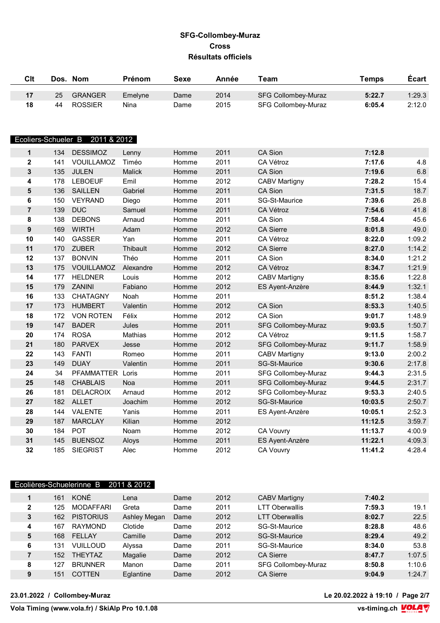| <b>Clt</b>              | Dos. | <b>Nom</b>                      | Prénom    | <b>Sexe</b> | Année | Team                       | <b>Temps</b> | <b>Ecart</b> |
|-------------------------|------|---------------------------------|-----------|-------------|-------|----------------------------|--------------|--------------|
| 17                      | 25   | <b>GRANGER</b>                  | Emelyne   | Dame        | 2014  | <b>SFG Collombey-Muraz</b> | 5:22.7       | 1:29.3       |
| 18                      | 44   | <b>ROSSIER</b>                  | Nina      | Dame        | 2015  | <b>SFG Collombey-Muraz</b> | 6:05.4       | 2:12.0       |
|                         |      | Ecoliers-Schueler B 2011 & 2012 |           |             |       |                            |              |              |
| 1                       | 134  | <b>DESSIMOZ</b>                 | Lenny     | Homme       | 2011  | <b>CA Sion</b>             | 7:12.8       |              |
| $\overline{\mathbf{2}}$ | 141  | VOUILLAMOZ                      | Timéo     | Homme       | 2011  | CA Vétroz                  | 7:17.6       | 4.8          |
| $\overline{\mathbf{3}}$ | 135  | <b>JULEN</b>                    | Malick    | Homme       | 2011  | CA Sion                    | 7:19.6       | 6.8          |
| 4                       | 178  | <b>LEBOEUF</b>                  | Emil      | Homme       | 2012  | <b>CABV Martigny</b>       | 7:28.2       | 15.4         |
| 5                       | 136  | <b>SAILLEN</b>                  | Gabriel   | Homme       | 2011  | <b>CA Sion</b>             | 7:31.5       | 18.7         |
| 6                       | 150  | <b>VEYRAND</b>                  | Diego     | Homme       | 2011  | SG-St-Maurice              | 7:39.6       | 26.8         |
| $\overline{7}$          | 139  | <b>DUC</b>                      | Samuel    | Homme       | 2011  | CA Vétroz                  | 7:54.6       | 41.8         |
| 8                       | 138  | <b>DEBONS</b>                   | Arnaud    | Homme       | 2011  | <b>CA Sion</b>             | 7:58.4       | 45.6         |
| 9                       | 169  | <b>WIRTH</b>                    | Adam      | Homme       | 2012  | <b>CA Sierre</b>           | 8:01.8       | 49.0         |
| 10                      | 140  | GASSER                          | Yan       | Homme       | 2011  | CA Vétroz                  | 8:22.0       | 1:09.2       |
| 11                      | 170  | <b>ZUBER</b>                    | Thibault  | Homme       | 2012  | <b>CA Sierre</b>           | 8:27.0       | 1:14.2       |
| 12                      | 137  | <b>BONVIN</b>                   | Théo      | Homme       | 2011  | CA Sion                    | 8:34.0       | 1:21.2       |
| 13                      | 175  | VOUILLAMOZ                      | Alexandre | Homme       | 2012  | CA Vétroz                  | 8:34.7       | 1:21.9       |
| 14                      | 177  | <b>HELDNER</b>                  | Louis     | Homme       | 2012  | <b>CABV Martigny</b>       | 8:35.6       | 1:22.8       |
| 15                      | 179  | <b>ZANINI</b>                   | Fabiano   | Homme       | 2012  | ES Ayent-Anzère            | 8:44.9       | 1:32.1       |
| 16                      | 133  | <b>CHATAGNY</b>                 | Noah      | Homme       | 2011  |                            | 8:51.2       | 1:38.4       |
| 17                      | 173  | <b>HUMBERT</b>                  | Valentin  | Homme       | 2012  | CA Sion                    | 8:53.3       | 1:40.5       |
| 18                      | 172  | <b>VON ROTEN</b>                | Félix     | Homme       | 2012  | <b>CA Sion</b>             | 9:01.7       | 1:48.9       |
| 19                      | 147  | <b>BADER</b>                    | Jules     | Homme       | 2011  | <b>SFG Collombey-Muraz</b> | 9:03.5       | 1:50.7       |
| 20                      | 174  | <b>ROSA</b>                     | Mathias   | Homme       | 2012  | CA Vétroz                  | 9:11.5       | 1:58.7       |
| 21                      | 180  | <b>PARVEX</b>                   | Jesse     | Homme       | 2012  | <b>SFG Collombey-Muraz</b> | 9:11.7       | 1:58.9       |
| 22                      | 143  | <b>FANTI</b>                    | Romeo     | Homme       | 2011  | <b>CABV Martigny</b>       | 9:13.0       | 2:00.2       |
| 23                      | 149  | <b>DUAY</b>                     | Valentin  | Homme       | 2011  | SG-St-Maurice              | 9:30.6       | 2:17.8       |
| 24                      | 34   | PFAMMATTER Loris                |           | Homme       | 2011  | SFG Collombey-Muraz        | 9:44.3       | 2:31.5       |
| 25                      | 148  | <b>CHABLAIS</b>                 | Noa       | Homme       | 2011  | <b>SFG Collombey-Muraz</b> | 9:44.5       | 2:31.7       |
| 26                      | 181  | <b>DELACROIX</b>                | Arnaud    | Homme       | 2012  | <b>SFG Collombey-Muraz</b> | 9:53.3       | 2:40.5       |
| 27                      | 182  | <b>ALLET</b>                    | Joachim   | Homme       | 2012  | SG-St-Maurice              | 10:03.5      | 2:50.7       |
| 28                      | 144  | <b>VALENTE</b>                  | Yanis     | Homme       | 2011  | ES Ayent-Anzère            | 10:05.1      | 2:52.3       |
| 29                      | 187  | <b>MARCLAY</b>                  | Kilian    | Homme       | 2012  |                            | 11:12.5      | 3:59.7       |
| 30                      | 184  | <b>POT</b>                      | Noam      | Homme       | 2012  | CA Vouvry                  | 11:13.7      | 4:00.9       |
| 31                      | 145  | <b>BUENSOZ</b>                  | Aloys     | Homme       | 2011  | ES Ayent-Anzère            | 11:22.1      | 4:09.3       |
| 32                      | 185  | <b>SIEGRIST</b>                 | Alec      | Homme       | 2012  | <b>CA Vouvry</b>           | 11:41.2      | 4:28.4       |

| 2011 & 2012<br>Ecolières-Schuelerinne B |     |                  |              |      |      |                       |        |        |  |  |
|-----------------------------------------|-----|------------------|--------------|------|------|-----------------------|--------|--------|--|--|
|                                         | 161 | KONÉ             | Lena         | Dame | 2012 | <b>CABV Martigny</b>  | 7:40.2 |        |  |  |
| 2                                       | 125 | <b>MODAFFARI</b> | Greta        | Dame | 2011 | <b>LTT Oberwallis</b> | 7:59.3 | 19.1   |  |  |
| 3                                       | 162 | <b>PISTORIUS</b> | Ashley Megan | Dame | 2012 | <b>LTT Oberwallis</b> | 8:02.7 | 22.5   |  |  |
| 4                                       | 167 | <b>RAYMOND</b>   | Clotide      | Dame | 2012 | SG-St-Maurice         | 8:28.8 | 48.6   |  |  |
| 5                                       | 168 | FELLAY           | Camille      | Dame | 2012 | <b>SG-St-Maurice</b>  | 8:29.4 | 49.2   |  |  |
| 6                                       | 131 | <b>VUILLOUD</b>  | Alyssa       | Dame | 2011 | SG-St-Maurice         | 8:34.0 | 53.8   |  |  |
| 7                                       | 152 | <b>THEYTAZ</b>   | Magalie      | Dame | 2012 | <b>CA Sierre</b>      | 8:47.7 | 1:07.5 |  |  |
| 8                                       | 127 | <b>BRUNNER</b>   | Manon        | Dame | 2011 | SFG Collombey-Muraz   | 8:50.8 | 1:10.6 |  |  |
| 9                                       | 151 | <b>COTTEN</b>    | Eglantine    | Dame | 2012 | <b>CA Sierre</b>      | 9:04.9 | 1:24.7 |  |  |

**23.01.2022 / Collombey-Muraz Le 20.02.2022 à 19:10 / Page 2/7**

 $\overline{\text{Vola timing (www.vola.fr) / Skillp}$  Pro 10.1.08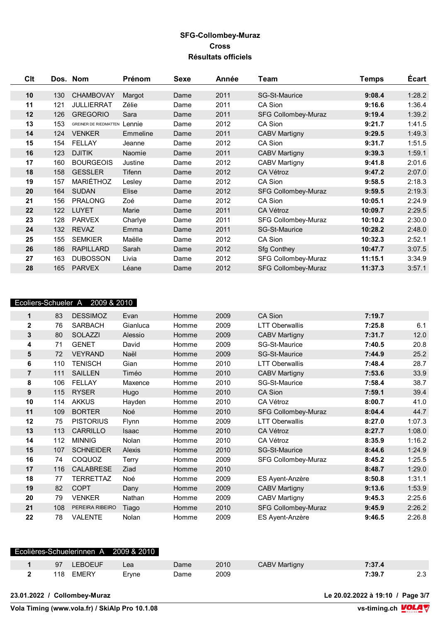| Clt |     | Dos. Nom                     | <b>Prénom</b> | Sexe | Année | Team                       | <b>Temps</b> | Écart  |
|-----|-----|------------------------------|---------------|------|-------|----------------------------|--------------|--------|
| 10  | 130 | <b>CHAMBOVAY</b>             | Margot        | Dame | 2011  | <b>SG-St-Maurice</b>       | 9:08.4       | 1:28.2 |
| 11  | 121 | <b>JULLIERRAT</b>            | Zélie         | Dame | 2011  | CA Sion                    | 9:16.6       | 1:36.4 |
| 12  | 126 | <b>GREGORIO</b>              | Sara          | Dame | 2011  | <b>SFG Collombey-Muraz</b> | 9:19.4       | 1:39.2 |
| 13  | 153 | <b>GREINER DE RIEDMATTEN</b> | Lennie        | Dame | 2012  | CA Sion                    | 9:21.7       | 1:41.5 |
| 14  | 124 | <b>VENKER</b>                | Emmeline      | Dame | 2011  | <b>CABV Martigny</b>       | 9:29.5       | 1:49.3 |
| 15  | 154 | <b>FELLAY</b>                | Jeanne        | Dame | 2012  | CA Sion                    | 9:31.7       | 1:51.5 |
| 16  | 123 | <b>DJITIK</b>                | Naomie        | Dame | 2011  | <b>CABV Martigny</b>       | 9:39.3       | 1:59.1 |
| 17  | 160 | <b>BOURGEOIS</b>             | Justine       | Dame | 2012  | <b>CABV Martigny</b>       | 9:41.8       | 2:01.6 |
| 18  | 158 | <b>GESSLER</b>               | Tifenn        | Dame | 2012  | CA Vétroz                  | 9:47.2       | 2:07.0 |
| 19  | 157 | MARIÉTHOZ                    | Lesley        | Dame | 2012  | CA Sion                    | 9:58.5       | 2:18.3 |
| 20  | 164 | <b>SUDAN</b>                 | Elise         | Dame | 2012  | <b>SFG Collombey-Muraz</b> | 9:59.5       | 2:19.3 |
| 21  | 156 | <b>PRALONG</b>               | Zoé           | Dame | 2012  | CA Sion                    | 10:05.1      | 2:24.9 |
| 22  | 122 | <b>LUYET</b>                 | Marie         | Dame | 2011  | CA Vétroz                  | 10:09.7      | 2:29.5 |
| 23  | 128 | <b>PARVEX</b>                | Charlye       | Dame | 2011  | <b>SFG Collombey-Muraz</b> | 10:10.2      | 2:30.0 |
| 24  | 132 | <b>REVAZ</b>                 | Emma          | Dame | 2011  | <b>SG-St-Maurice</b>       | 10:28.2      | 2:48.0 |
| 25  | 155 | <b>SEMKIER</b>               | Maëlle        | Dame | 2012  | CA Sion                    | 10:32.3      | 2:52.1 |
| 26  | 186 | <b>RAPILLARD</b>             | Sarah         | Dame | 2012  | <b>Sfg Conthey</b>         | 10:47.7      | 3:07.5 |
| 27  | 163 | <b>DUBOSSON</b>              | Livia         | Dame | 2012  | SFG Collombey-Muraz        | 11:15.1      | 3:34.9 |
| 28  | 165 | <b>PARVEX</b>                | Léane         | Dame | 2012  | <b>SFG Collombey-Muraz</b> | 11:37.3      | 3:57.1 |

# Ecoliers-Schueler A 2009 & 2010

| 1                | 83  | <b>DESSIMOZ</b>  | Evan     | Homme | 2009 | CA Sion               | 7:19.7 |        |
|------------------|-----|------------------|----------|-------|------|-----------------------|--------|--------|
| $\mathbf 2$      | 76  | <b>SARBACH</b>   | Gianluca | Homme | 2009 | <b>LTT Oberwallis</b> | 7:25.8 | 6.1    |
| 3                | 80  | <b>SOLAZZI</b>   | Alessio  | Homme | 2009 | <b>CABV Martigny</b>  | 7:31.7 | 12.0   |
| 4                | 71  | <b>GENET</b>     | David    | Homme | 2009 | SG-St-Maurice         | 7:40.5 | 20.8   |
| 5                | 72  | <b>VEYRAND</b>   | Naël     | Homme | 2009 | <b>SG-St-Maurice</b>  | 7:44.9 | 25.2   |
| 6                | 110 | <b>TENISCH</b>   | Gian     | Homme | 2010 | <b>LTT Oberwallis</b> | 7:48.4 | 28.7   |
| $\overline{7}$   | 111 | <b>SAILLEN</b>   | Timéo    | Homme | 2010 | <b>CABV Martigny</b>  | 7:53.6 | 33.9   |
| 8                | 106 | <b>FELLAY</b>    | Maxence  | Homme | 2010 | SG-St-Maurice         | 7:58.4 | 38.7   |
| $\boldsymbol{9}$ | 115 | <b>RYSER</b>     | Hugo     | Homme | 2010 | CA Sion               | 7:59.1 | 39.4   |
| 10               | 114 | <b>AKKUS</b>     | Hayden   | Homme | 2010 | CA Vétroz             | 8:00.7 | 41.0   |
| 11               | 109 | <b>BORTER</b>    | Noé      | Homme | 2010 | SFG Collombey-Muraz   | 8:04.4 | 44.7   |
| 12               | 75  | <b>PISTORIUS</b> | Flynn    | Homme | 2009 | <b>LTT Oberwallis</b> | 8:27.0 | 1:07.3 |
| 13               | 113 | <b>CARRILLO</b>  | Isaac    | Homme | 2010 | CA Vétroz             | 8:27.7 | 1:08.0 |
| 14               | 112 | <b>MINNIG</b>    | Nolan    | Homme | 2010 | CA Vétroz             | 8:35.9 | 1:16.2 |
| 15               | 107 | <b>SCHNEIDER</b> | Alexis   | Homme | 2010 | SG-St-Maurice         | 8:44.6 | 1:24.9 |
| 16               | 74  | COQUOZ           | Terry    | Homme | 2009 | SFG Collombey-Muraz   | 8:45.2 | 1:25.5 |
| 17               | 116 | <b>CALABRESE</b> | Ziad     | Homme | 2010 |                       | 8:48.7 | 1:29.0 |
| 18               | 77  | <b>TERRETTAZ</b> | Noé      | Homme | 2009 | ES Ayent-Anzère       | 8:50.8 | 1:31.1 |
| 19               | 82  | <b>COPT</b>      | Dany     | Homme | 2009 | <b>CABV Martigny</b>  | 9:13.6 | 1:53.9 |
| 20               | 79  | <b>VENKER</b>    | Nathan   | Homme | 2009 | <b>CABV Martigny</b>  | 9:45.3 | 2:25.6 |
| 21               | 108 | PEREIRA RIBEIRO  | Tiago    | Homme | 2010 | SFG Collombey-Muraz   | 9:45.9 | 2:26.2 |
| 22               | 78  | <b>VALENTE</b>   | Nolan    | Homme | 2009 | ES Ayent-Anzère       | 9:46.5 | 2:26.8 |
|                  |     |                  |          |       |      |                       |        |        |

|     |         | Ecolières-Schuelerinnen A 2009 & 2010 |      |      |               |        |     |
|-----|---------|---------------------------------------|------|------|---------------|--------|-----|
| 97  | LEBOEUF | Lea                                   | Dame | 2010 | CABV Martigny | 7:37.4 |     |
| 118 | EMERY   | Ervne                                 | Dame | 2009 |               | 7:39.7 | 2.3 |
|     |         |                                       |      |      |               |        |     |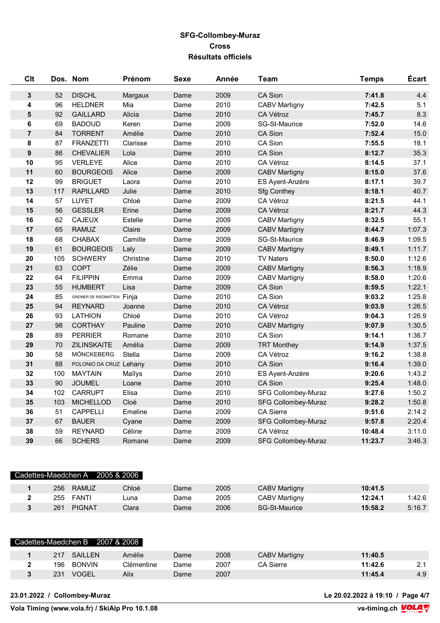| Clt              |     | Dos. Nom                    | Prénom    | <b>Sexe</b> | Année | Team                       | <b>Temps</b> | Écart  |
|------------------|-----|-----------------------------|-----------|-------------|-------|----------------------------|--------------|--------|
| $\mathbf{3}$     | 52  | <b>DISCHL</b>               | Margaux   | Dame        | 2009  | CA Sion                    | 7:41.8       | 4.4    |
| 4                | 96  | <b>HELDNER</b>              | Mia       | Dame        | 2010  | <b>CABV Martigny</b>       | 7:42.5       | 5.1    |
| 5                | 92  | <b>GAILLARD</b>             | Alicia    | Dame        | 2010  | CA Vétroz                  | 7:45.7       | 8.3    |
| 6                | 69  | <b>BADOUD</b>               | Keren     | Dame        | 2009  | SG-St-Maurice              | 7:52.0       | 14.6   |
| $\overline{7}$   | 84  | <b>TORRENT</b>              | Amélie    | Dame        | 2010  | CA Sion                    | 7:52.4       | 15.0   |
| 8                | 87  | <b>FRANZETTI</b>            | Clarisse  | Dame        | 2010  | CA Sion                    | 7:55.5       | 18.1   |
| $\boldsymbol{9}$ | 86  | <b>CHEVALIER</b>            | Lola      | Dame        | 2010  | CA Sion                    | 8:12.7       | 35.3   |
| 10               | 95  | <b>VERLEYE</b>              | Alice     | Dame        | 2010  | CA Vétroz                  | 8:14.5       | 37.1   |
| 11               | 60  | <b>BOURGEOIS</b>            | Alice     | Dame        | 2009  | <b>CABV Martigny</b>       | 8:15.0       | 37.6   |
| 12               | 99  | <b>BRIGUET</b>              | Laora     | Dame        | 2010  | ES Ayent-Anzère            | 8:17.1       | 39.7   |
| 13               | 117 | <b>RAPILLARD</b>            | Julie     | Dame        | 2010  | <b>Sfg Conthey</b>         | 8:18.1       | 40.7   |
| 14               | 57  | LUYET                       | Chloé     | Dame        | 2009  | CA Vétroz                  | 8:21.5       | 44.1   |
| 15               | 56  | <b>GESSLER</b>              | Erine     | Dame        | 2009  | CA Vétroz                  | 8:21.7       | 44.3   |
| 16               | 62  | <b>CAJEUX</b>               | Estelle   | Dame        | 2009  | <b>CABV Martigny</b>       | 8:32.5       | 55.1   |
| 17               | 65  | <b>RAMUZ</b>                | Claire    | Dame        | 2009  | <b>CABV Martigny</b>       | 8:44.7       | 1:07.3 |
| 18               | 68  | <b>CHABAX</b>               | Camille   | Dame        | 2009  | SG-St-Maurice              | 8:46.9       | 1:09.5 |
| 19               | 61  | <b>BOURGEOIS</b>            | Laly      | Dame        | 2009  | <b>CABV Martigny</b>       | 8:49.1       | 1:11.7 |
| 20               | 105 | <b>SCHWERY</b>              | Christine | Dame        | 2010  | <b>TV Naters</b>           | 8:50.0       | 1:12.6 |
| 21               | 63  | <b>COPT</b>                 | Zélie     | Dame        | 2009  | <b>CABV Martigny</b>       | 8:56.3       | 1:18.9 |
| 22               | 64  | <b>FILIPPIN</b>             | Emma      | Dame        | 2009  | <b>CABV Martigny</b>       | 8:58.0       | 1:20.6 |
| 23               | 55  | <b>HUMBERT</b>              | Lisa      | Dame        | 2009  | CA Sion                    | 8:59.5       | 1:22.1 |
| 24               | 85  | GREINER DE RIEDMATTEN Finja |           | Dame        | 2010  | CA Sion                    | 9:03.2       | 1:25.8 |
| 25               | 94  | <b>REYNARD</b>              | Joanne    | Dame        | 2010  | CA Vétroz                  | 9:03.9       | 1:26.5 |
| 26               | 93  | <b>LATHION</b>              | Chloé     | Dame        | 2010  | CA Vétroz                  | 9:04.3       | 1:26.9 |
| 27               | 98  | <b>CORTHAY</b>              | Pauline   | Dame        | 2010  | <b>CABV Martigny</b>       | 9:07.9       | 1:30.5 |
| 28               | 89  | <b>PERRIER</b>              | Romane    | Dame        | 2010  | CA Sion                    | 9:14.1       | 1:36.7 |
| 29               | 70  | <b>ZILINSKAITE</b>          | Amélia    | Dame        | 2009  | <b>TRT Monthey</b>         | 9:14.9       | 1:37.5 |
| 30               | 58  | MÖNCKEBERG                  | Stella    | Dame        | 2009  | CA Vétroz                  | 9:16.2       | 1:38.8 |
| 31               | 88  | POLONIO DA CRUZ Lehany      |           | Dame        | 2010  | CA Sion                    | 9:16.4       | 1:39.0 |
| 32               | 100 | <b>MAYTAIN</b>              | Maïlys    | Dame        | 2010  | ES Ayent-Anzère            | 9:20.6       | 1:43.2 |
| 33               | 90  | <b>JOUMEL</b>               | Loane     | Dame        | 2010  | CA Sion                    | 9:25.4       | 1:48.0 |
| 34               | 102 | <b>CARRUPT</b>              | Elisa     | Dame        | 2010  | SFG Collombey-Muraz        | 9:27.6       | 1:50.2 |
| 35               | 103 | <b>MICHELLOD</b>            | Cloé      | Dame        | 2010  | <b>SFG Collombey-Muraz</b> | 9:28.2       | 1:50.8 |
| 36               | 51  | <b>CAPPELLI</b>             | Emeline   | Dame        | 2009  | <b>CA Sierre</b>           | 9:51.6       | 2:14.2 |
| 37               | 67  | <b>BAUER</b>                | Cyane     | Dame        | 2009  | <b>SFG Collombey-Muraz</b> | 9:57.8       | 2:20.4 |
| 38               | 59  | <b>REYNARD</b>              | Céline    | Dame        | 2009  | CA Vétroz                  | 10:48.4      | 3:11.0 |
| 39               | 66  | <b>SCHERS</b>               | Romane    | Dame        | 2009  | <b>SFG Collombey-Muraz</b> | 11:23.7      | 3:46.3 |

|     |               | Cadettes-Maedchen $A$ 2005 & 2006 |      |      |                      |         |        |
|-----|---------------|-----------------------------------|------|------|----------------------|---------|--------|
| 256 | <b>RAMUZ</b>  | Chloé                             | Dame | 2005 | <b>CABV Martigny</b> | 10:41.5 |        |
| 255 | <b>FANTI</b>  | ∟una                              | Dame | 2005 | <b>CABV Martigny</b> | 12:24.1 | 1:42.6 |
| 261 | <b>PIGNAT</b> | Clara                             | Dame | 2006 | SG-St-Maurice        | 15:58.2 | 5:16.7 |

|     | Cadettes-Maedchen B 2007 & 2008 |            |      |      |                      |         |     |
|-----|---------------------------------|------------|------|------|----------------------|---------|-----|
| 217 | SAILLEN                         | Amélie     | Dame | 2008 | <b>CABV Martigny</b> | 11:40.5 |     |
| 196 | <b>BONVIN</b>                   | Clémentine | Dame | 2007 | CA Sierre            | 11:42.6 | 2.1 |
| 231 | <b>VOGEL</b>                    | Alix       | Dame | 2007 |                      | 11:45.4 | 4.9 |

**23.01.2022 / Collombey-Muraz Le 20.02.2022 à 19:10 / Page 4/7**

 $\overline{\text{Vola Thning (www.vola.fr) / SkiAlp$  Pro 10.1.08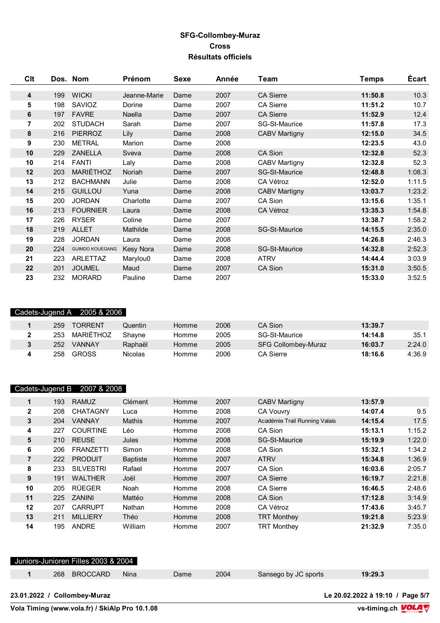| Clt |     | Dos. Nom               | Prénom       | Sexe | Année | Team                 | <b>Temps</b> | <b>Écart</b> |
|-----|-----|------------------------|--------------|------|-------|----------------------|--------------|--------------|
| 4   | 199 | <b>WICKI</b>           | Jeanne-Marie | Dame | 2007  | <b>CA Sierre</b>     | 11:50.8      | 10.3         |
| 5   | 198 | SAVIOZ                 | Dorine       | Dame | 2007  | <b>CA Sierre</b>     | 11:51.2      | 10.7         |
| 6   | 197 | <b>FAVRE</b>           | Naella       | Dame | 2007  | <b>CA Sierre</b>     | 11:52.9      | 12.4         |
| 7   | 202 | <b>STUDACH</b>         | Sarah        | Dame | 2007  | SG-St-Maurice        | 11:57.8      | 17.3         |
| 8   | 216 | <b>PIERROZ</b>         | Lily         | Dame | 2008  | <b>CABV Martigny</b> | 12:15.0      | 34.5         |
| 9   | 230 | <b>METRAL</b>          | Marion       | Dame | 2008  |                      | 12:23.5      | 43.0         |
| 10  | 229 | <b>ZANELLA</b>         | Sveva        | Dame | 2008  | CA Sion              | 12:32.8      | 52.3         |
| 10  | 214 | <b>FANTI</b>           | Laly         | Dame | 2008  | <b>CABV Martigny</b> | 12:32.8      | 52.3         |
| 12  | 203 | MARIÉTHOZ              | Noriah       | Dame | 2007  | SG-St-Maurice        | 12:48.8      | 1:08.3       |
| 13  | 212 | <b>BACHMANN</b>        | Julie        | Dame | 2008  | CA Vétroz            | 12:52.0      | 1:11.5       |
| 14  | 215 | <b>GUILLOU</b>         | Yuna         | Dame | 2008  | <b>CABV Martigny</b> | 13:03.7      | 1:23.2       |
| 15  | 200 | <b>JORDAN</b>          | Charlotte    | Dame | 2007  | CA Sion              | 13:15.6      | 1:35.1       |
| 16  | 213 | <b>FOURNIER</b>        | Laura        | Dame | 2008  | CA Vétroz            | 13:35.3      | 1:54.8       |
| 17  | 226 | <b>RYSER</b>           | Coline       | Dame | 2007  |                      | 13:38.7      | 1:58.2       |
| 18  | 219 | <b>ALLET</b>           | Mathilde     | Dame | 2008  | <b>SG-St-Maurice</b> | 14:15.5      | 2:35.0       |
| 19  | 228 | <b>JORDAN</b>          | Laura        | Dame | 2008  |                      | 14:26.8      | 2:46.3       |
| 20  | 224 | <b>GUIMDO KOUEGANG</b> | Kesy Nora    | Dame | 2008  | SG-St-Maurice        | 14:32.8      | 2:52.3       |
| 21  | 223 | ARLETTAZ               | Marylou0     | Dame | 2008  | <b>ATRV</b>          | 14:44.4      | 3:03.9       |
| 22  | 201 | <b>JOUMEL</b>          | Maud         | Dame | 2007  | CA Sion              | 15:31.0      | 3:50.5       |
| 23  | 232 | <b>MORARD</b>          | Pauline      | Dame | 2007  |                      | 15:33.0      | 3:52.5       |

### Cadets-Jugend A 2005 & 2006

| 259 | <b>TORRENT</b> | วuentin        | Homme | 2006 | CA Sion                    | 13:39.7 |        |
|-----|----------------|----------------|-------|------|----------------------------|---------|--------|
| 253 | MARIÉTHOZ      | Shavne         | Homme | 2005 | SG-St-Maurice              | 14:14.8 | 35.1   |
| 252 | <b>VANNAY</b>  | Raphaël        | Homme | 2005 | <b>SFG Collombey-Muraz</b> | 16:03.7 | 2:24.0 |
| 258 | <b>GROSS</b>   | <b>Nicolas</b> | Homme | 2006 | CA Sierre                  | 18:16.6 | 4:36.9 |

### Cadets-Jugend B 2007 & 2008

|    | 193 | <b>RAMUZ</b>     | <b>Clément</b>  | Homme | 2007 | <b>CABV Martigny</b>          | 13:57.9 |        |
|----|-----|------------------|-----------------|-------|------|-------------------------------|---------|--------|
| 2  | 208 | <b>CHATAGNY</b>  | Luca            | Homme | 2008 | <b>CA Vouvry</b>              | 14:07.4 | 9.5    |
| 3  | 204 | <b>VANNAY</b>    | <b>Mathis</b>   | Homme | 2007 | Académie Trail Running Valais | 14:15.4 | 17.5   |
| 4  | 227 | <b>COURTINE</b>  | Léo             | Homme | 2008 | CA Sion                       | 15:13.1 | 1:15.2 |
| 5  | 210 | <b>REUSE</b>     | Jules           | Homme | 2008 | <b>SG-St-Maurice</b>          | 15:19.9 | 1:22.0 |
| 6  | 206 | <b>FRANZETTI</b> | Simon           | Homme | 2008 | CA Sion                       | 15:32.1 | 1:34.2 |
| 7  | 222 | <b>PRODUIT</b>   | <b>Baptiste</b> | Homme | 2007 | <b>ATRV</b>                   | 15:34.8 | 1:36.9 |
| 8  | 233 | <b>SILVESTRI</b> | Rafael          | Homme | 2007 | CA Sion                       | 16:03.6 | 2:05.7 |
| 9  | 191 | <b>WALTHER</b>   | Joël            | Homme | 2007 | <b>CA Sierre</b>              | 16:19.7 | 2:21.8 |
| 10 | 205 | <b>RÜEGER</b>    | Noah            | Homme | 2008 | <b>CA Sierre</b>              | 16:46.5 | 2:48.6 |
| 11 | 225 | ZANINI           | Mattéo          | Homme | 2008 | CA Sion                       | 17:12.8 | 3:14.9 |
| 12 | 207 | <b>CARRUPT</b>   | Nathan          | Homme | 2008 | CA Vétroz                     | 17:43.6 | 3:45.7 |
| 13 | 211 | <b>MILLIERY</b>  | Théo            | Homme | 2008 | <b>TRT Monthey</b>            | 19:21.8 | 5:23.9 |
| 14 | 195 | <b>ANDRE</b>     | William         | Homme | 2007 | <b>TRT Monthey</b>            | 21:32.9 | 7:35.0 |

## Juniors-Junioren Filles 2003 & 2004 268 BROCCARD Nina Dame 2004 Sansego by JC sports **19:29.3**

| 23.01.2022 / Collombev-Muraz |  |  |
|------------------------------|--|--|
|                              |  |  |

**Vola Timing (www.vola.fr) / SkiAlp Pro 10.1.08** 

**23.01.2022 / Collombey-Muraz Le 20.02.2022 à 19:10 / Page 5/7**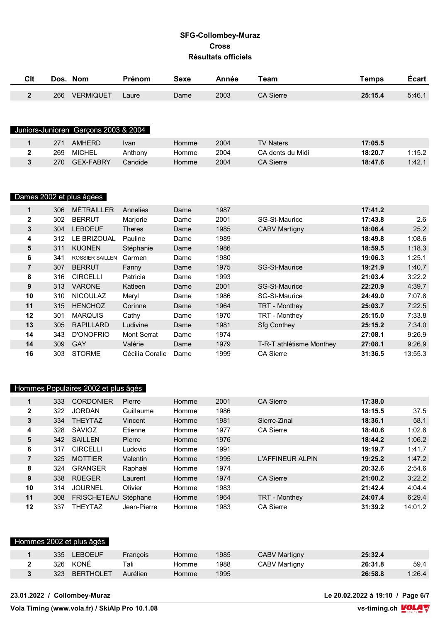| Clt          |     | Dos. Nom                             | <b>Prénom</b> | Sexe | Année | Team             | <b>Temps</b> | <b>Ecart</b> |
|--------------|-----|--------------------------------------|---------------|------|-------|------------------|--------------|--------------|
| $\mathbf{2}$ | 266 | <b>VERMIQUET</b>                     | Laure         | Dame | 2003  | <b>CA Sierre</b> | 25:15.4      | 5:46.1       |
|              |     |                                      |               |      |       |                  |              |              |
|              |     |                                      |               |      |       |                  |              |              |
|              |     | Juniors-Junioren Garçons 2003 & 2004 |               |      |       |                  |              |              |

|     | AMHFRD           | Ivan    | Homme | 2004 | TV Naters        | 17:05.5 |        |
|-----|------------------|---------|-------|------|------------------|---------|--------|
| 269 | MICHEL           | Anthony | Homme | 2004 | CA dents du Midi | 18:20.7 | 1:15.2 |
| 270 | <b>GEX-FABRY</b> | Candide | Homme | 2004 | <b>CA Sierre</b> | 18:47.6 | 1:42.1 |

# Dames 2002 et plus âgées

| 1              | 306 | <b>MÉTRAILLER</b>      | Annelies           | Dame | 1987 |                          | 17:41.2 |         |
|----------------|-----|------------------------|--------------------|------|------|--------------------------|---------|---------|
| $\mathbf{2}$   | 302 | <b>BERRUT</b>          | Marjorie           | Dame | 2001 | SG-St-Maurice            | 17:43.8 | 2.6     |
| 3              | 304 | <b>LEBOEUF</b>         | <b>Theres</b>      | Dame | 1985 | <b>CABV Martigny</b>     | 18:06.4 | 25.2    |
| 4              | 312 | LE BRIZOUAL            | Pauline            | Dame | 1989 |                          | 18:49.8 | 1:08.6  |
| 5              | 311 | <b>KUONEN</b>          | Stéphanie          | Dame | 1986 |                          | 18:59.5 | 1:18.3  |
| 6              | 341 | <b>ROSSIER SAILLEN</b> | Carmen             | Dame | 1980 |                          | 19:06.3 | 1:25.1  |
| $\overline{7}$ | 307 | <b>BERRUT</b>          | Fanny              | Dame | 1975 | SG-St-Maurice            | 19:21.9 | 1:40.7  |
| 8              | 316 | <b>CIRCELLI</b>        | Patricia           | Dame | 1993 |                          | 21:03.4 | 3:22.2  |
| 9              | 313 | <b>VARONE</b>          | Katleen            | Dame | 2001 | SG-St-Maurice            | 22:20.9 | 4:39.7  |
| 10             | 310 | <b>NICOULAZ</b>        | Meryl              | Dame | 1986 | SG-St-Maurice            | 24:49.0 | 7:07.8  |
| 11             | 315 | <b>HENCHOZ</b>         | Corinne            | Dame | 1964 | TRT - Monthey            | 25:03.7 | 7:22.5  |
| 12             | 301 | <b>MARQUIS</b>         | Cathy              | Dame | 1970 | TRT - Monthey            | 25:15.0 | 7:33.8  |
| 13             | 305 | <b>RAPILLARD</b>       | Ludivine           | Dame | 1981 | <b>Sfg Conthey</b>       | 25:15.2 | 7:34.0  |
| 14             | 343 | D'ONOFRIO              | <b>Mont Serrat</b> | Dame | 1974 |                          | 27:08.1 | 9:26.9  |
| 14             | 309 | <b>GAY</b>             | Valérie            | Dame | 1979 | T-R-T athlétisme Monthey | 27:08.1 | 9:26.9  |
| 16             | 303 | <b>STORME</b>          | Cécilia Coralie    | Dame | 1999 | <b>CA Sierre</b>         | 31:36.5 | 13:55.3 |

|              |     | Hommes Populaires 2002 et plus âgés |             |       |      |                  |         |         |
|--------------|-----|-------------------------------------|-------------|-------|------|------------------|---------|---------|
| $\mathbf 1$  | 333 | <b>CORDONIER</b>                    | Pierre      | Homme | 2001 | <b>CA Sierre</b> | 17:38.0 |         |
| $\mathbf{2}$ | 322 | <b>JORDAN</b>                       | Guillaume   | Homme | 1986 |                  | 18:15.5 | 37.5    |
| 3            | 334 | <b>THEYTAZ</b>                      | Vincent     | Homme | 1981 | Sierre-Zinal     | 18:36.1 | 58.1    |
| 4            | 328 | SAVIOZ                              | Etienne     | Homme | 1977 | <b>CA Sierre</b> | 18:40.6 | 1:02.6  |
| 5            | 342 | <b>SAILLEN</b>                      | Pierre      | Homme | 1976 |                  | 18:44.2 | 1:06.2  |
| 6            | 317 | <b>CIRCELLI</b>                     | Ludovic     | Homme | 1991 |                  | 19:19.7 | 1:41.7  |
| 7            | 325 | <b>MOTTIER</b>                      | Valentin    | Homme | 1995 | L'AFFINEUR ALPIN | 19:25.2 | 1:47.2  |
| 8            | 324 | <b>GRANGER</b>                      | Raphaël     | Homme | 1974 |                  | 20:32.6 | 2:54.6  |
| 9            | 338 | <b>RÜEGER</b>                       | Laurent     | Homme | 1974 | <b>CA Sierre</b> | 21:00.2 | 3:22.2  |
| 10           | 314 | <b>JOURNEL</b>                      | Olivier     | Homme | 1983 |                  | 21:42.4 | 4:04.4  |
| 11           | 308 | <b>FRISCHETEAU</b>                  | Stéphane    | Homme | 1964 | TRT - Monthey    | 24:07.4 | 6:29.4  |
| $12 \,$      | 337 | THEYTAZ                             | Jean-Pierre | Homme | 1983 | <b>CA Sierre</b> | 31:39.2 | 14:01.2 |

#### Hommes 2002 et plus âgés

| 335 | LEBOEUF   | <b>Francois</b> | Homme | 1985 | <b>CABV Martigny</b> | 25:32.4 |        |
|-----|-----------|-----------------|-------|------|----------------------|---------|--------|
|     | 326 KONÉ  | Tali            | Homme | 1988 | CABV Martigny        | 26:31.8 | 59.4   |
| 323 | BERTHOLET | Aurélien        | Homme | 1995 |                      | 26:58.8 | 1:26.4 |

**23.01.2022 / Collombey-Muraz Le 20.02.2022 à 19:10 / Page 6/7**

**Vola Timing (www.vola.fr) / SkiAlp Pro 10.1.08** 

**VS-timing.ch VOLA**